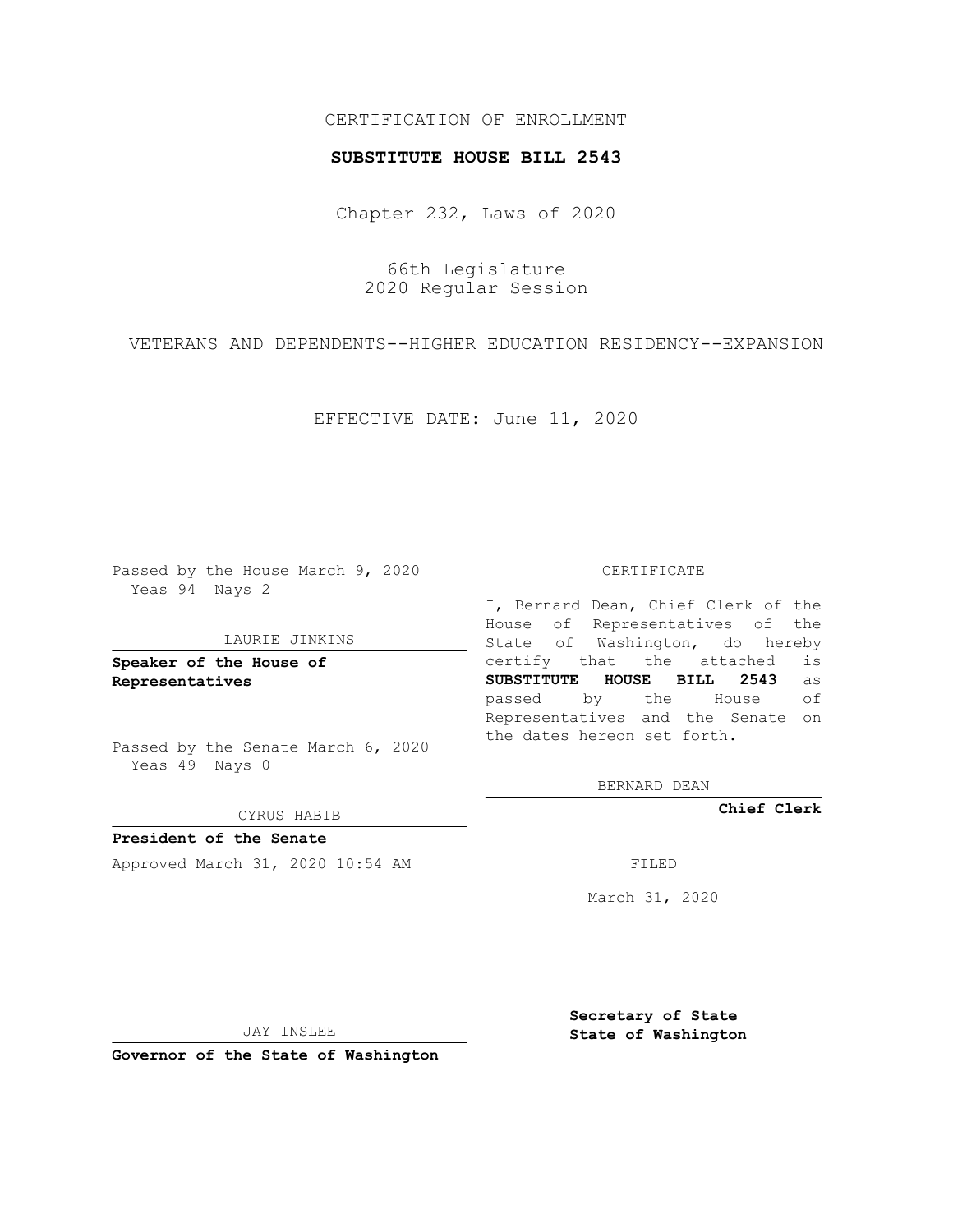## CERTIFICATION OF ENROLLMENT

### **SUBSTITUTE HOUSE BILL 2543**

Chapter 232, Laws of 2020

66th Legislature 2020 Regular Session

VETERANS AND DEPENDENTS--HIGHER EDUCATION RESIDENCY--EXPANSION

EFFECTIVE DATE: June 11, 2020

Passed by the House March 9, 2020 Yeas 94 Nays 2

#### LAURIE JINKINS

**Speaker of the House of Representatives**

Passed by the Senate March 6, 2020 Yeas 49 Nays 0

#### CYRUS HABIB

**President of the Senate** Approved March 31, 2020 10:54 AM FILED

#### CERTIFICATE

I, Bernard Dean, Chief Clerk of the House of Representatives of the State of Washington, do hereby certify that the attached is **SUBSTITUTE HOUSE BILL 2543** as passed by the House of Representatives and the Senate on the dates hereon set forth.

BERNARD DEAN

**Chief Clerk**

March 31, 2020

JAY INSLEE

**Governor of the State of Washington**

**Secretary of State State of Washington**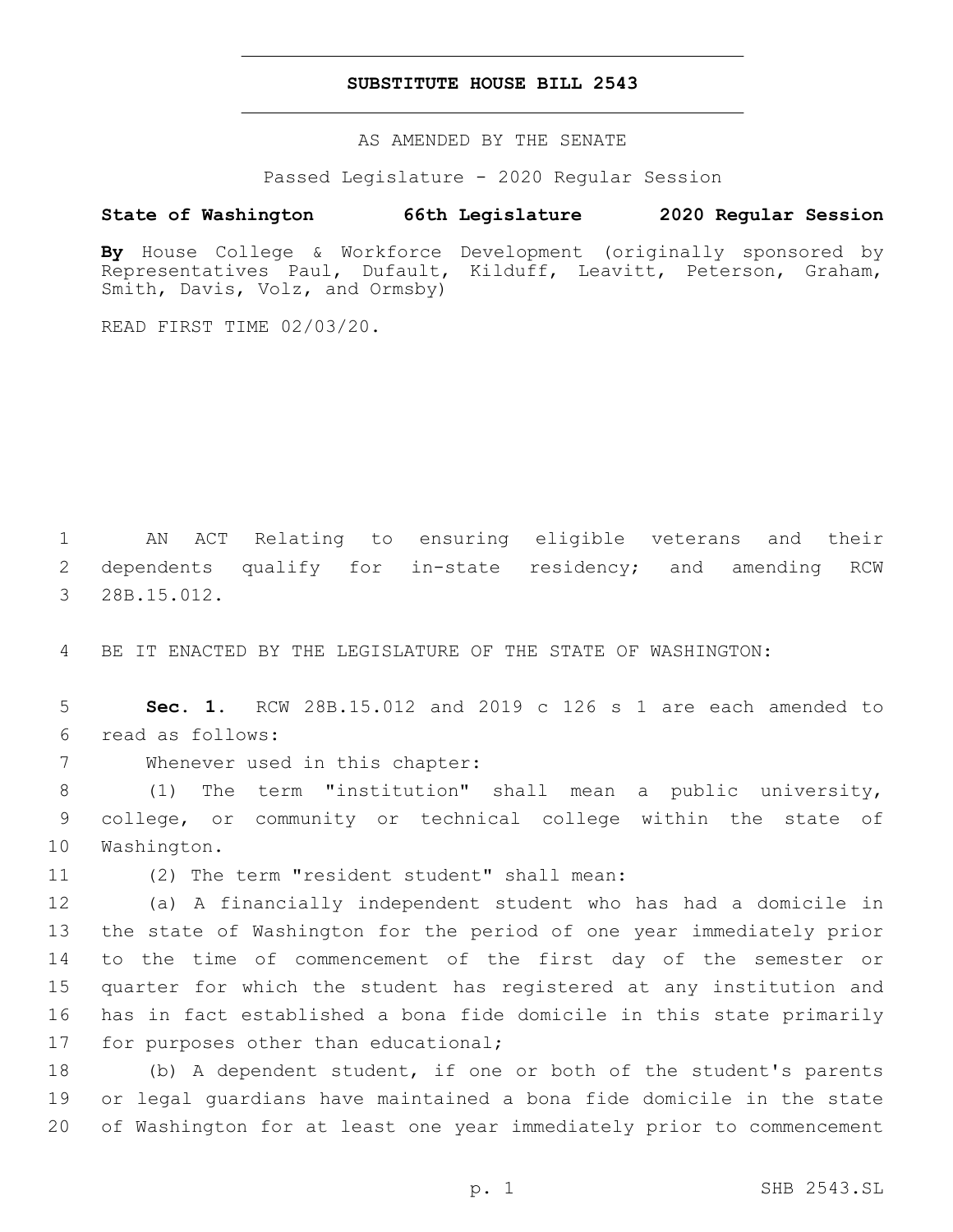### **SUBSTITUTE HOUSE BILL 2543**

AS AMENDED BY THE SENATE

Passed Legislature - 2020 Regular Session

# **State of Washington 66th Legislature 2020 Regular Session**

**By** House College & Workforce Development (originally sponsored by Representatives Paul, Dufault, Kilduff, Leavitt, Peterson, Graham, Smith, Davis, Volz, and Ormsby)

READ FIRST TIME 02/03/20.

1 AN ACT Relating to ensuring eligible veterans and their 2 dependents qualify for in-state residency; and amending RCW 3 28B.15.012.

4 BE IT ENACTED BY THE LEGISLATURE OF THE STATE OF WASHINGTON:

5 **Sec. 1.** RCW 28B.15.012 and 2019 c 126 s 1 are each amended to read as follows:6

7 Whenever used in this chapter:

8 (1) The term "institution" shall mean a public university, 9 college, or community or technical college within the state of 10 Washington.

11 (2) The term "resident student" shall mean:

 (a) A financially independent student who has had a domicile in the state of Washington for the period of one year immediately prior to the time of commencement of the first day of the semester or quarter for which the student has registered at any institution and has in fact established a bona fide domicile in this state primarily 17 for purposes other than educational;

18 (b) A dependent student, if one or both of the student's parents 19 or legal guardians have maintained a bona fide domicile in the state 20 of Washington for at least one year immediately prior to commencement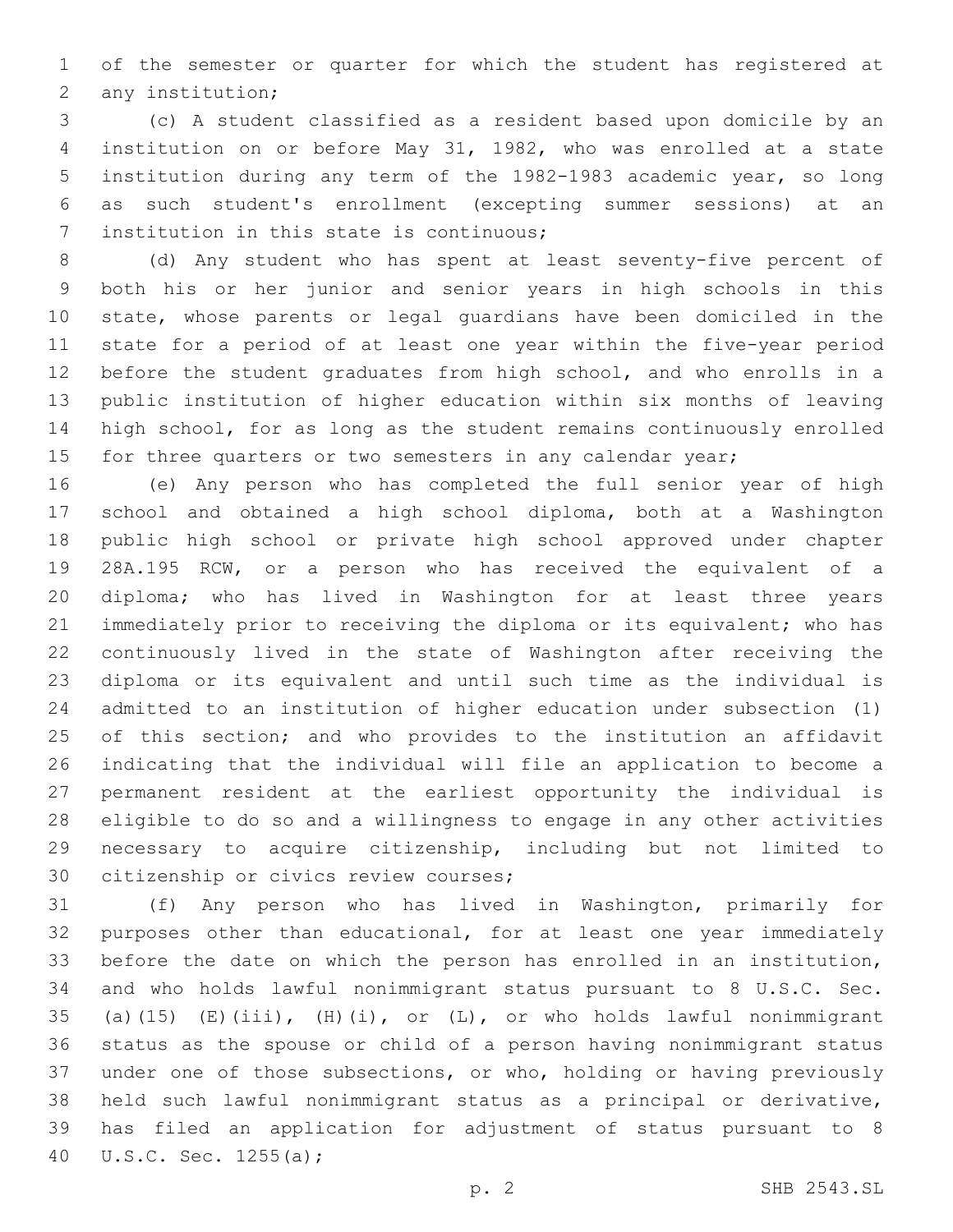of the semester or quarter for which the student has registered at 2 any institution;

 (c) A student classified as a resident based upon domicile by an institution on or before May 31, 1982, who was enrolled at a state institution during any term of the 1982-1983 academic year, so long as such student's enrollment (excepting summer sessions) at an 7 institution in this state is continuous;

 (d) Any student who has spent at least seventy-five percent of both his or her junior and senior years in high schools in this state, whose parents or legal guardians have been domiciled in the state for a period of at least one year within the five-year period before the student graduates from high school, and who enrolls in a public institution of higher education within six months of leaving high school, for as long as the student remains continuously enrolled 15 for three quarters or two semesters in any calendar year;

 (e) Any person who has completed the full senior year of high school and obtained a high school diploma, both at a Washington public high school or private high school approved under chapter 28A.195 RCW, or a person who has received the equivalent of a diploma; who has lived in Washington for at least three years immediately prior to receiving the diploma or its equivalent; who has continuously lived in the state of Washington after receiving the diploma or its equivalent and until such time as the individual is admitted to an institution of higher education under subsection (1) 25 of this section; and who provides to the institution an affidavit indicating that the individual will file an application to become a permanent resident at the earliest opportunity the individual is eligible to do so and a willingness to engage in any other activities necessary to acquire citizenship, including but not limited to 30 citizenship or civics review courses;

 (f) Any person who has lived in Washington, primarily for purposes other than educational, for at least one year immediately before the date on which the person has enrolled in an institution, and who holds lawful nonimmigrant status pursuant to 8 U.S.C. Sec. 35 (a)(15) (E)(iii), (H)(i), or  $(L)$ , or who holds lawful nonimmigrant status as the spouse or child of a person having nonimmigrant status under one of those subsections, or who, holding or having previously held such lawful nonimmigrant status as a principal or derivative, has filed an application for adjustment of status pursuant to 8 40 U.S.C. Sec. 1255(a);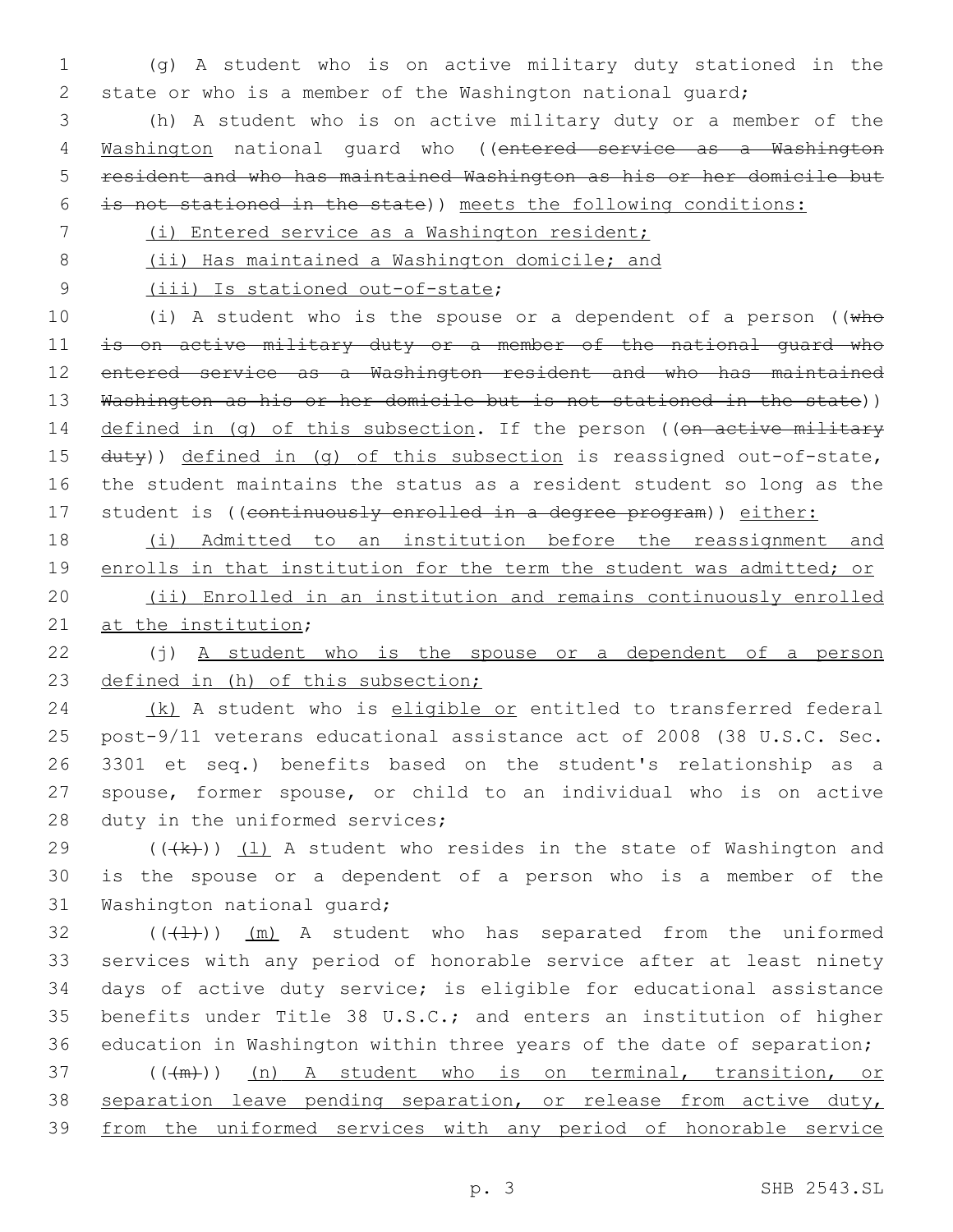1 (g) A student who is on active military duty stationed in the 2 state or who is a member of the Washington national guard;

 (h) A student who is on active military duty or a member of the Washington national guard who ((entered service as a Washington resident and who has maintained Washington as his or her domicile but is not stationed in the state)) meets the following conditions:

- 7 (i) Entered service as a Washington resident;
- 

8 (ii) Has maintained a Washington domicile; and

9 (iii) Is stationed out-of-state;

10 (i) A student who is the spouse or a dependent of a person ((who 11 is on active military duty or a member of the national quard who 12 entered service as a Washington resident and who has maintained 13 Washington as his or her domicile but is not stationed in the state)) 14 defined in (q) of this subsection. If the person ((on active military 15 duty)) defined in (q) of this subsection is reassigned out-of-state, 16 the student maintains the status as a resident student so long as the 17 student is ((continuously enrolled in a degree program)) either:

18 (i) Admitted to an institution before the reassignment and 19 enrolls in that institution for the term the student was admitted; or 20 (ii) Enrolled in an institution and remains continuously enrolled

21 at the institution;

22 (j) A student who is the spouse or a dependent of a person 23 defined in (h) of this subsection;

24 (k) A student who is eligible or entitled to transferred federal 25 post-9/11 veterans educational assistance act of 2008 (38 U.S.C. Sec. 26 3301 et seq.) benefits based on the student's relationship as a 27 spouse, former spouse, or child to an individual who is on active 28 duty in the uniformed services;

29  $((+k))$   $(1)$  A student who resides in the state of Washington and 30 is the spouse or a dependent of a person who is a member of the 31 Washington national guard;

 $((+1))$   $(m)$  A student who has separated from the uniformed services with any period of honorable service after at least ninety days of active duty service; is eligible for educational assistance benefits under Title 38 U.S.C.; and enters an institution of higher education in Washington within three years of the date of separation; 37 (((m)) (n) A student who is on terminal, transition, or 38 separation leave pending separation, or release from active duty, from the uniformed services with any period of honorable service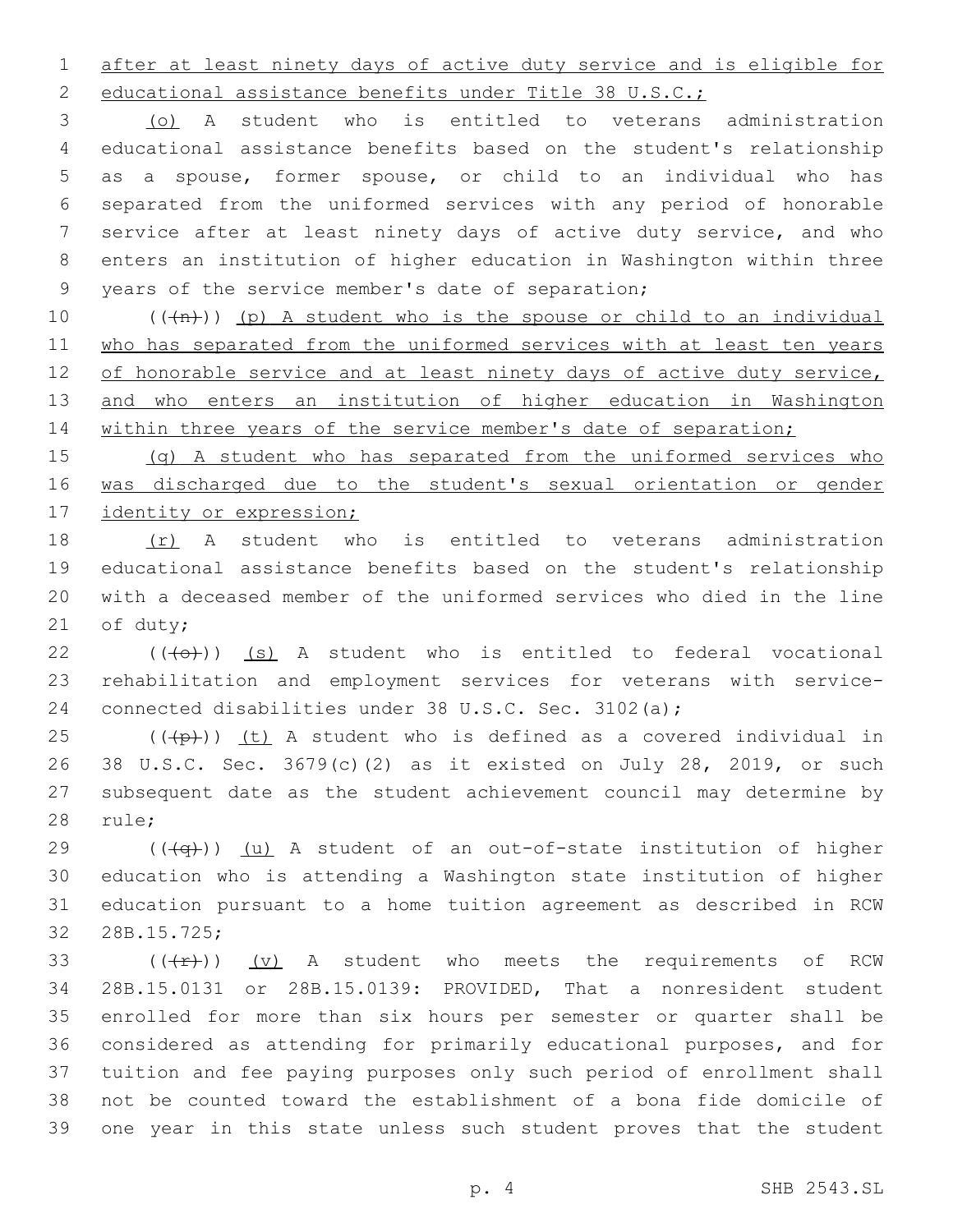after at least ninety days of active duty service and is eligible for

2 educational assistance benefits under Title 38 U.S.C.;

 (o) A student who is entitled to veterans administration educational assistance benefits based on the student's relationship as a spouse, former spouse, or child to an individual who has separated from the uniformed services with any period of honorable service after at least ninety days of active duty service, and who enters an institution of higher education in Washington within three 9 years of the service member's date of separation;

10  $((+n))$  (p) A student who is the spouse or child to an individual 11 who has separated from the uniformed services with at least ten years 12 of honorable service and at least ninety days of active duty service, 13 and who enters an institution of higher education in Washington 14 within three years of the service member's date of separation;

15 (q) A student who has separated from the uniformed services who 16 was discharged due to the student's sexual orientation or gender 17 identity or expression;

 (r) A student who is entitled to veterans administration educational assistance benefits based on the student's relationship with a deceased member of the uniformed services who died in the line 21 of duty;

 (( $\left(\overline{+}0\overline{+}\right)$ ) (s) A student who is entitled to federal vocational rehabilitation and employment services for veterans with service-connected disabilities under 38 U.S.C. Sec. 3102(a);

 (( $\left(\frac{1}{2}+1\right)$ ) (t) A student who is defined as a covered individual in 38 U.S.C. Sec. 3679(c)(2) as it existed on July 28, 2019, or such subsequent date as the student achievement council may determine by 28 rule;

 (( $\overline{+q}$ )) (u) A student of an out-of-state institution of higher education who is attending a Washington state institution of higher education pursuant to a home tuition agreement as described in RCW 32 28B.15.725;

 $((+r))$   $(v)$  A student who meets the requirements of RCW 28B.15.0131 or 28B.15.0139: PROVIDED, That a nonresident student enrolled for more than six hours per semester or quarter shall be considered as attending for primarily educational purposes, and for tuition and fee paying purposes only such period of enrollment shall not be counted toward the establishment of a bona fide domicile of one year in this state unless such student proves that the student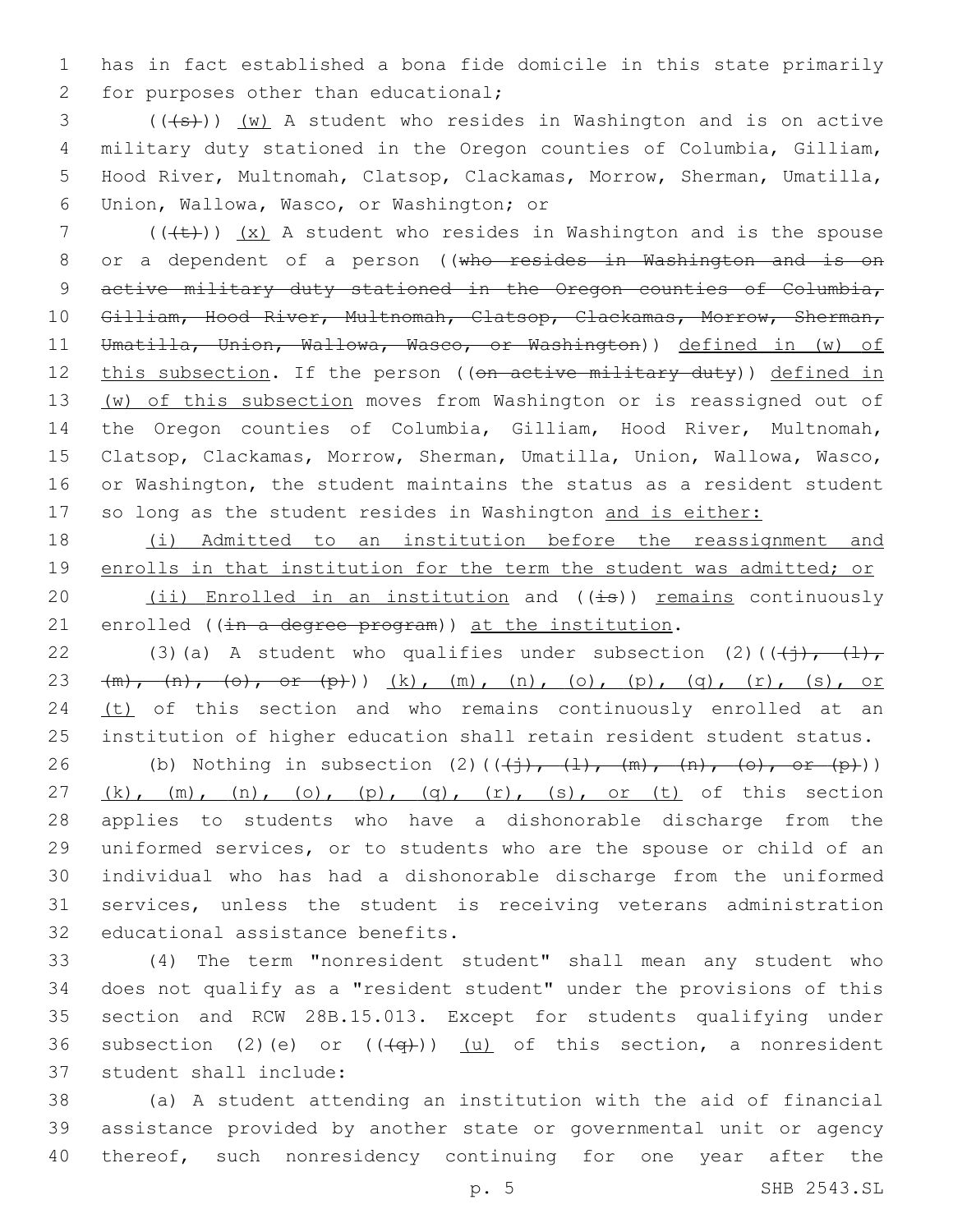1 has in fact established a bona fide domicile in this state primarily 2 for purposes other than educational;

 (( $\left( +s \right)$ )) (w) A student who resides in Washington and is on active military duty stationed in the Oregon counties of Columbia, Gilliam, Hood River, Multnomah, Clatsop, Clackamas, Morrow, Sherman, Umatilla, Union, Wallowa, Wasco, or Washington; or6

7 ( $(\{+\})$  (x) A student who resides in Washington and is the spouse 8 or a dependent of a person ((who resides in Washington and is on 9 active military duty stationed in the Oregon counties of Columbia, 10 Gilliam, Hood River, Multnomah, Clatsop, Clackamas, Morrow, Sherman, 11 Umatilla, Union, Wallowa, Wasco, or Washington)) defined in (w) of 12 this subsection. If the person ((on active military duty)) defined in 13 (w) of this subsection moves from Washington or is reassigned out of 14 the Oregon counties of Columbia, Gilliam, Hood River, Multnomah, 15 Clatsop, Clackamas, Morrow, Sherman, Umatilla, Union, Wallowa, Wasco, 16 or Washington, the student maintains the status as a resident student 17 so long as the student resides in Washington and is either:

18 (i) Admitted to an institution before the reassignment and 19 enrolls in that institution for the term the student was admitted; or 20  $(ii)$  Enrolled in an institution and  $((i\text{--}s))$  remains continuously 21 enrolled ( $(in - a \text{ degree program})$ ) at the institution.

22 (3)(a) A student who qualifies under subsection (2)( $(\frac{1}{2}, \frac{1}{2})$ 23  $(m)$ ,  $(n)$ ,  $(o)$ , or  $(p)$ ))  $(k)$ ,  $(m)$ ,  $(n)$ ,  $(o)$ ,  $(p)$ ,  $(q)$ ,  $(r)$ ,  $(s)$ , or 24 (t) of this section and who remains continuously enrolled at an 25 institution of higher education shall retain resident student status.

26 (b) Nothing in subsection (2)( $(\frac{+}{+}, \frac{1}{+}, \frac{m}{-}, \frac{m}{-}, \frac{o}{-}, \frac{c}{-}, \frac{m}{+})$ )  $(k)$ ,  $(m)$ ,  $(n)$ ,  $(o)$ ,  $(p)$ ,  $(q)$ ,  $(r)$ ,  $(s)$ , or  $(t)$  of this section applies to students who have a dishonorable discharge from the uniformed services, or to students who are the spouse or child of an individual who has had a dishonorable discharge from the uniformed services, unless the student is receiving veterans administration 32 educational assistance benefits.

33 (4) The term "nonresident student" shall mean any student who 34 does not qualify as a "resident student" under the provisions of this 35 section and RCW 28B.15.013. Except for students qualifying under 36 subsection (2)(e) or  $((+q+))$  (u) of this section, a nonresident 37 student shall include:

38 (a) A student attending an institution with the aid of financial 39 assistance provided by another state or governmental unit or agency 40 thereof, such nonresidency continuing for one year after the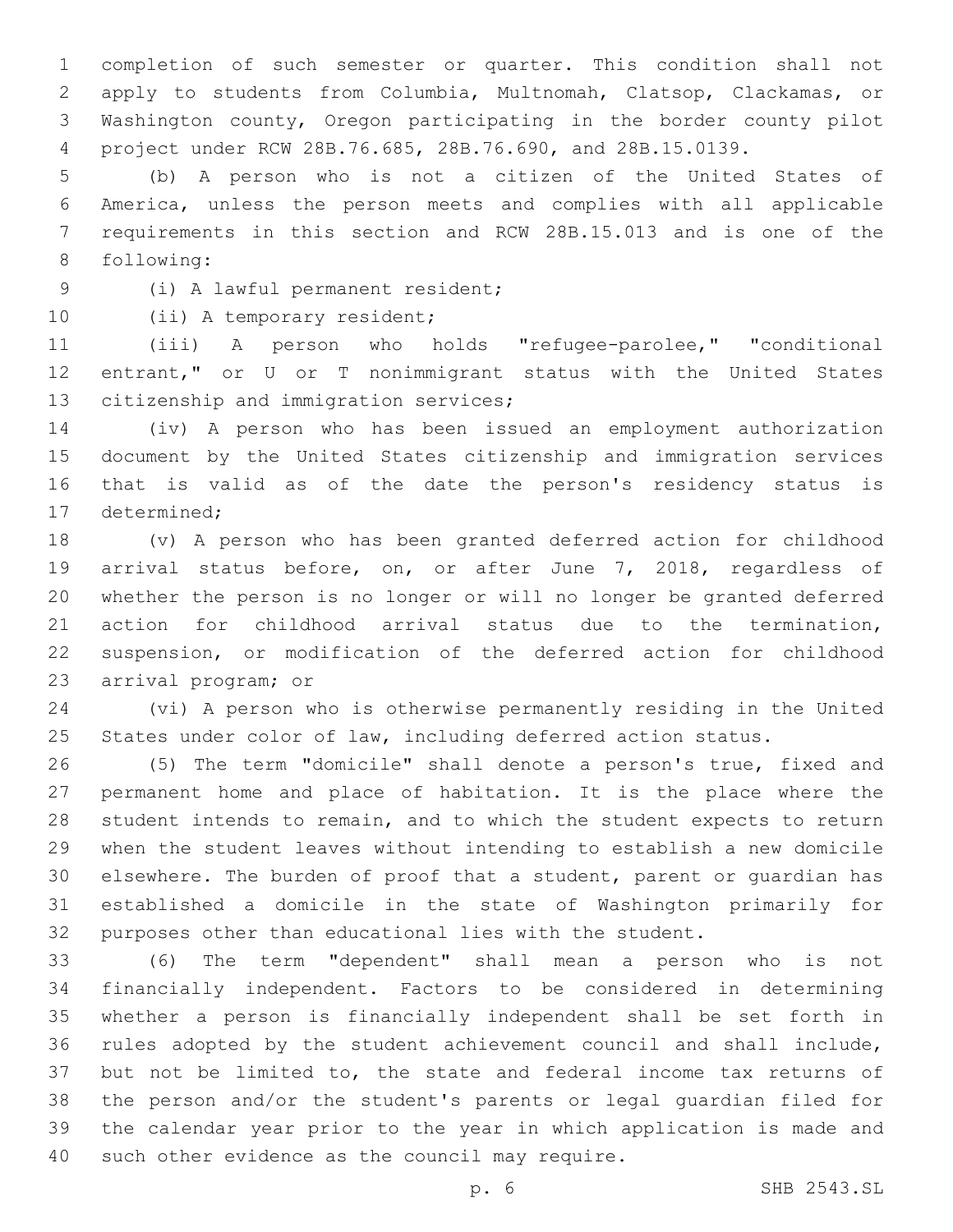completion of such semester or quarter. This condition shall not apply to students from Columbia, Multnomah, Clatsop, Clackamas, or Washington county, Oregon participating in the border county pilot project under RCW 28B.76.685, 28B.76.690, and 28B.15.0139.

 (b) A person who is not a citizen of the United States of America, unless the person meets and complies with all applicable requirements in this section and RCW 28B.15.013 and is one of the 8 following:

(i) A lawful permanent resident;9

10 (ii) A temporary resident;

 (iii) A person who holds "refugee-parolee," "conditional entrant," or U or T nonimmigrant status with the United States 13 citizenship and immigration services;

 (iv) A person who has been issued an employment authorization document by the United States citizenship and immigration services that is valid as of the date the person's residency status is 17 determined;

 (v) A person who has been granted deferred action for childhood arrival status before, on, or after June 7, 2018, regardless of whether the person is no longer or will no longer be granted deferred action for childhood arrival status due to the termination, suspension, or modification of the deferred action for childhood 23 arrival program; or

 (vi) A person who is otherwise permanently residing in the United States under color of law, including deferred action status.

 (5) The term "domicile" shall denote a person's true, fixed and permanent home and place of habitation. It is the place where the student intends to remain, and to which the student expects to return when the student leaves without intending to establish a new domicile elsewhere. The burden of proof that a student, parent or guardian has established a domicile in the state of Washington primarily for purposes other than educational lies with the student.

 (6) The term "dependent" shall mean a person who is not financially independent. Factors to be considered in determining whether a person is financially independent shall be set forth in rules adopted by the student achievement council and shall include, but not be limited to, the state and federal income tax returns of the person and/or the student's parents or legal guardian filed for the calendar year prior to the year in which application is made and 40 such other evidence as the council may require.